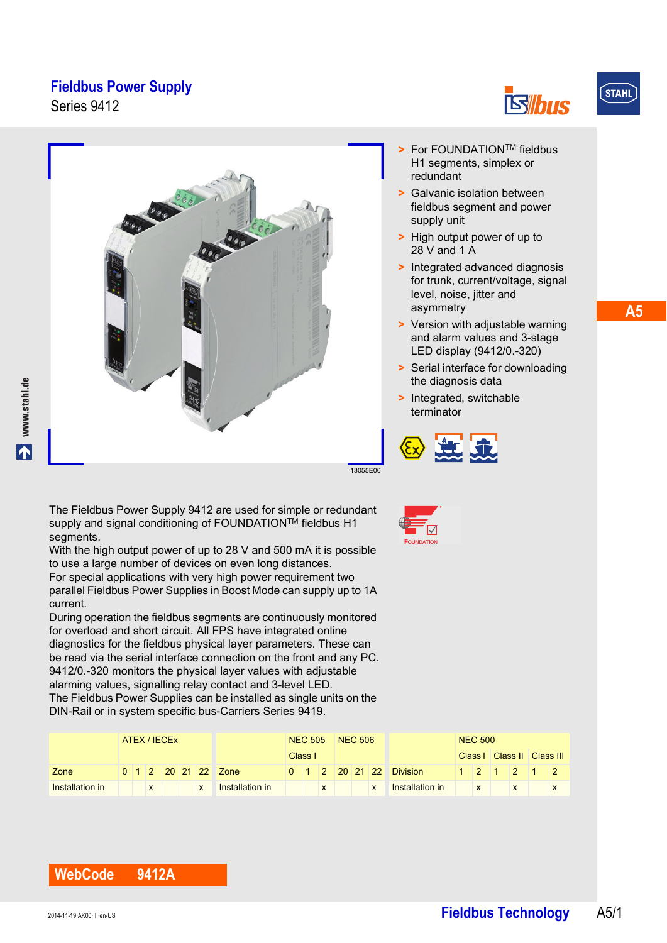Series 9412





**A5**



- **>** Galvanic isolation between fieldbus segment and power supply unit
- **>** High output power of up to 28 V and 1 A
- **>** Integrated advanced diagnosis for trunk, current/voltage, signal level, noise, jitter and asymmetry
- **>** Version with adjustable warning and alarm values and 3-stage LED display (9412/0.-320)
- **>** Serial interface for downloading the diagnosis data
- **>** Integrated, switchable terminator



The Fieldbus Power Supply 9412 are used for simple or redundant supply and signal conditioning of FOUNDATION<sup>TM</sup> fieldbus H1 segments.

With the high output power of up to 28 V and 500 mA it is possible to use a large number of devices on even long distances. For special applications with very high power requirement two parallel Fieldbus Power Supplies in Boost Mode can supply up to 1A current.

During operation the fieldbus segments are continuously monitored for overload and short circuit. All FPS have integrated online diagnostics for the fieldbus physical layer parameters. These can be read via the serial interface connection on the front and any PC. 9412/0.-320 monitors the physical layer values with adjustable alarming values, signalling relay contact and 3-level LED. The Fieldbus Power Supplies can be installed as single units on the DIN-Rail or in system specific bus-Carriers Series 9419.

|                 | ATEX / IECEX |  |   |  |  |                     | <b>NEC 505</b> |         |              | <b>NEC 506</b> |  |                           |                         | <b>NEC 500</b> |              |                       |  |            |  |
|-----------------|--------------|--|---|--|--|---------------------|----------------|---------|--------------|----------------|--|---------------------------|-------------------------|----------------|--------------|-----------------------|--|------------|--|
|                 |              |  |   |  |  |                     |                | Class I |              |                |  |                           |                         |                |              | Class   Class   Class |  |            |  |
| Zone            |              |  |   |  |  | 0 1 2 20 21 22 Zone |                |         |              |                |  |                           | 0 1 2 20 21 22 Division |                |              |                       |  | 12 1 2 1 2 |  |
| Installation in |              |  | X |  |  | Installation in     |                |         | $\mathsf{x}$ |                |  | $\boldsymbol{\mathsf{x}}$ | <b>Installation in</b>  |                | $\mathsf{X}$ |                       |  |            |  |

## **WebCode 9412A**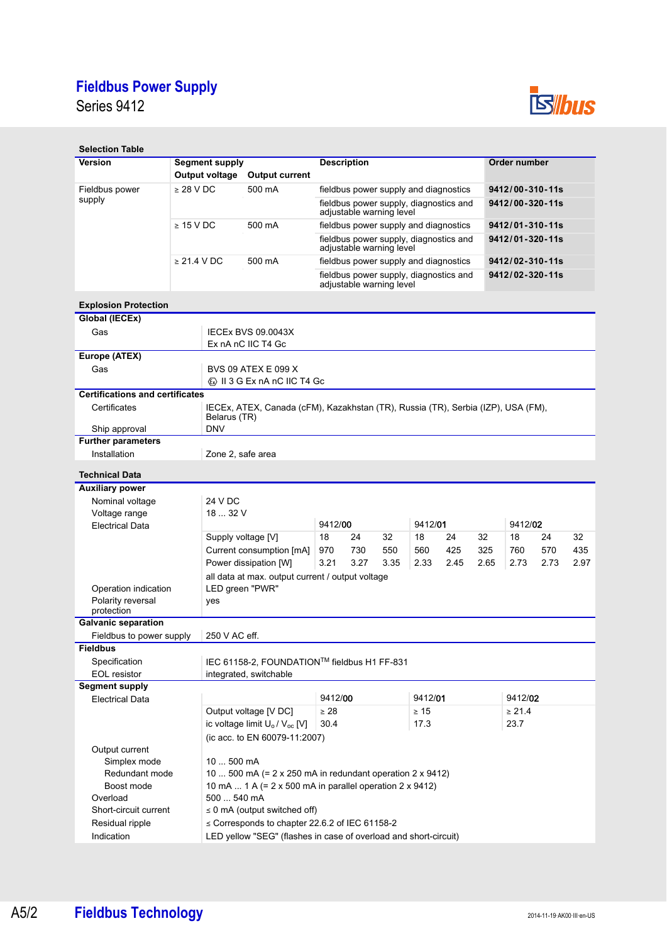Series 9412



| <b>Selection Table</b>                          |                       |                                                                                                  |                                                                    |                                                                    |                 |                       |             |         |     |                 |  |  |  |  |
|-------------------------------------------------|-----------------------|--------------------------------------------------------------------------------------------------|--------------------------------------------------------------------|--------------------------------------------------------------------|-----------------|-----------------------|-------------|---------|-----|-----------------|--|--|--|--|
| <b>Version</b>                                  | <b>Segment supply</b> |                                                                                                  | <b>Description</b>                                                 |                                                                    |                 | Order number          |             |         |     |                 |  |  |  |  |
|                                                 | Output voltage        | <b>Output current</b>                                                                            |                                                                    |                                                                    |                 |                       |             |         |     |                 |  |  |  |  |
| Fieldbus power                                  | $\geq$ 28 V DC        | 500 mA                                                                                           | fieldbus power supply and diagnostics                              |                                                                    |                 | 9412/00-310-11s       |             |         |     |                 |  |  |  |  |
| supply                                          |                       |                                                                                                  | fieldbus power supply, diagnostics and<br>adjustable warning level |                                                                    |                 | $9412/00 - 320 - 11s$ |             |         |     |                 |  |  |  |  |
|                                                 | $\geq 15$ V DC        | 500 mA                                                                                           | fieldbus power supply and diagnostics                              |                                                                    |                 | 9412/01-310-11s       |             |         |     |                 |  |  |  |  |
|                                                 |                       |                                                                                                  | fieldbus power supply, diagnostics and<br>adjustable warning level |                                                                    | 9412/01-320-11s |                       |             |         |     |                 |  |  |  |  |
|                                                 | $\geq$ 21.4 V DC      | 500 mA                                                                                           | fieldbus power supply and diagnostics                              |                                                                    |                 | 9412/02-310-11s       |             |         |     |                 |  |  |  |  |
|                                                 |                       |                                                                                                  |                                                                    | fieldbus power supply, diagnostics and<br>adjustable warning level |                 |                       |             |         |     | 9412/02-320-11s |  |  |  |  |
| <b>Explosion Protection</b>                     |                       |                                                                                                  |                                                                    |                                                                    |                 |                       |             |         |     |                 |  |  |  |  |
| Global (IECEx)                                  |                       |                                                                                                  |                                                                    |                                                                    |                 |                       |             |         |     |                 |  |  |  |  |
| Gas                                             |                       | <b>IECEX BVS 09.0043X</b>                                                                        |                                                                    |                                                                    |                 |                       |             |         |     |                 |  |  |  |  |
|                                                 |                       | Ex nA nC IIC T4 Gc                                                                               |                                                                    |                                                                    |                 |                       |             |         |     |                 |  |  |  |  |
| Europe (ATEX)<br>Gas                            |                       |                                                                                                  |                                                                    |                                                                    |                 |                       |             |         |     |                 |  |  |  |  |
|                                                 |                       | <b>BVS 09 ATEX E 099 X</b><br><b>&amp; II 3 G Ex nA nC IIC T4 Gc</b>                             |                                                                    |                                                                    |                 |                       |             |         |     |                 |  |  |  |  |
| <b>Certifications and certificates</b>          |                       |                                                                                                  |                                                                    |                                                                    |                 |                       |             |         |     |                 |  |  |  |  |
| Certificates                                    |                       | IECEx, ATEX, Canada (cFM), Kazakhstan (TR), Russia (TR), Serbia (IZP), USA (FM),<br>Belarus (TR) |                                                                    |                                                                    |                 |                       |             |         |     |                 |  |  |  |  |
| Ship approval                                   | <b>DNV</b>            |                                                                                                  |                                                                    |                                                                    |                 |                       |             |         |     |                 |  |  |  |  |
| <b>Further parameters</b>                       |                       |                                                                                                  |                                                                    |                                                                    |                 |                       |             |         |     |                 |  |  |  |  |
| Installation                                    |                       | Zone 2, safe area                                                                                |                                                                    |                                                                    |                 |                       |             |         |     |                 |  |  |  |  |
| <b>Technical Data</b>                           |                       |                                                                                                  |                                                                    |                                                                    |                 |                       |             |         |     |                 |  |  |  |  |
| <b>Auxiliary power</b>                          |                       |                                                                                                  |                                                                    |                                                                    |                 |                       |             |         |     |                 |  |  |  |  |
| Nominal voltage                                 | 24 V DC               |                                                                                                  |                                                                    |                                                                    |                 |                       |             |         |     |                 |  |  |  |  |
| Voltage range                                   |                       | 18  32 V<br>9412/01                                                                              |                                                                    |                                                                    |                 |                       |             |         |     |                 |  |  |  |  |
| <b>Electrical Data</b>                          |                       |                                                                                                  | 9412/00                                                            |                                                                    | 9412/02         |                       |             |         |     |                 |  |  |  |  |
|                                                 |                       | Supply voltage [V]                                                                               | 18<br>24<br>970<br>730                                             | 32<br>550                                                          | 18<br>560       | 24<br>425             | 32<br>325   | 18      | 24  | 32              |  |  |  |  |
|                                                 |                       | Current consumption [mA]                                                                         | 3.21<br>3.27<br>3.35<br>2.33<br>2.45                               |                                                                    |                 |                       |             | 760     | 570 | 435             |  |  |  |  |
|                                                 |                       | 2.73<br>2.73<br>2.97<br>Power dissipation [W]<br>2.65                                            |                                                                    |                                                                    |                 |                       |             |         |     |                 |  |  |  |  |
| Operation indication                            |                       | all data at max. output current / output voltage<br>LED green "PWR"                              |                                                                    |                                                                    |                 |                       |             |         |     |                 |  |  |  |  |
| Polarity reversal                               |                       | yes                                                                                              |                                                                    |                                                                    |                 |                       |             |         |     |                 |  |  |  |  |
| protection                                      |                       |                                                                                                  |                                                                    |                                                                    |                 |                       |             |         |     |                 |  |  |  |  |
| <b>Galvanic separation</b>                      |                       |                                                                                                  |                                                                    |                                                                    |                 |                       |             |         |     |                 |  |  |  |  |
| Fieldbus to power supply                        |                       | 250 V AC eff.                                                                                    |                                                                    |                                                                    |                 |                       |             |         |     |                 |  |  |  |  |
| <b>Fieldbus</b>                                 |                       |                                                                                                  |                                                                    |                                                                    |                 |                       |             |         |     |                 |  |  |  |  |
| Specification                                   |                       | IEC 61158-2, FOUNDATION™ fieldbus H1 FF-831                                                      |                                                                    |                                                                    |                 |                       |             |         |     |                 |  |  |  |  |
| EOL resistor                                    |                       | integrated, switchable                                                                           |                                                                    |                                                                    |                 |                       |             |         |     |                 |  |  |  |  |
| <b>Segment supply</b><br><b>Electrical Data</b> |                       |                                                                                                  | 9412/00                                                            |                                                                    | 9412/01         |                       |             | 9412/02 |     |                 |  |  |  |  |
|                                                 |                       | Output voltage [V DC]                                                                            | $\geq 28$                                                          |                                                                    | $\geq 15$       |                       | $\geq 21.4$ |         |     |                 |  |  |  |  |
|                                                 |                       | ic voltage limit U <sub>o</sub> / V <sub>oc</sub> [V]                                            | 30.4                                                               |                                                                    | 17.3            |                       |             | 23.7    |     |                 |  |  |  |  |
|                                                 |                       | (ic acc. to EN 60079-11:2007)                                                                    |                                                                    |                                                                    |                 |                       |             |         |     |                 |  |  |  |  |
| Output current                                  |                       |                                                                                                  |                                                                    |                                                                    |                 |                       |             |         |     |                 |  |  |  |  |
| Simplex mode                                    |                       | 10  500 mA                                                                                       |                                                                    |                                                                    |                 |                       |             |         |     |                 |  |  |  |  |
| Redundant mode                                  |                       | 10  500 mA (= $2 \times 250$ mA in redundant operation $2 \times 9412$ )                         |                                                                    |                                                                    |                 |                       |             |         |     |                 |  |  |  |  |
| Boost mode                                      |                       | 10 mA  1 A (= 2 x 500 mA in parallel operation 2 x 9412)                                         |                                                                    |                                                                    |                 |                       |             |         |     |                 |  |  |  |  |
| Overload                                        |                       | 500  540 mA                                                                                      |                                                                    |                                                                    |                 |                       |             |         |     |                 |  |  |  |  |
| Short-circuit current                           |                       | $\leq$ 0 mA (output switched off)                                                                |                                                                    |                                                                    |                 |                       |             |         |     |                 |  |  |  |  |
| Residual ripple                                 |                       | $\leq$ Corresponds to chapter 22.6.2 of IEC 61158-2                                              |                                                                    |                                                                    |                 |                       |             |         |     |                 |  |  |  |  |
| Indication                                      |                       | LED yellow "SEG" (flashes in case of overload and short-circuit)                                 |                                                                    |                                                                    |                 |                       |             |         |     |                 |  |  |  |  |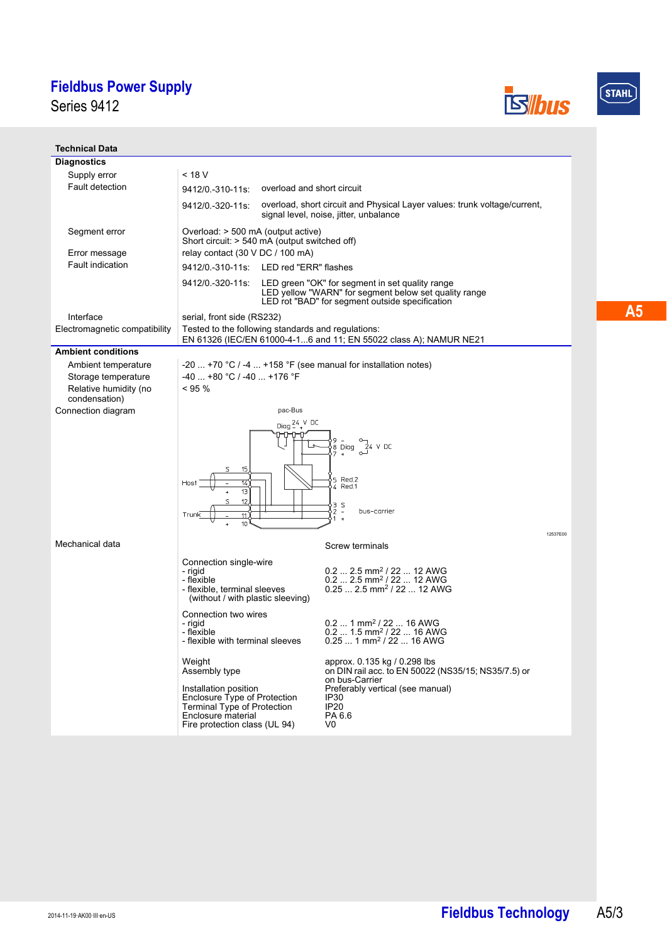Series 9412





#### **Technical Data Diagnostics** Supply error  $\sim$  18 V Fault detection 9412/0.-310-11s: overload and short circuit 9412/0.-320-11s: overload, short circuit and Physical Layer values: trunk voltage/current, signal level, noise, jitter, unbalance Segment error Overload: > 500 mA (output active) Short circuit: > 540 mA (output switched off) Error message relay contact (30 V DC / 100 mA) Fault indication 9412/0.-310-11s: LED red "ERR" flashes 9412/0.-320-11s: LED green "OK" for segment in set quality range LED yellow "WARN" for segment below set quality range LED rot "BAD" for segment outside specification Interface serial, front side (RS232) Electromagnetic compatibility Tested to the following standards and regulations: EN 61326 (IEC/EN 61000-4-1...6 and 11; EN 55022 class A); NAMUR NE21 **Ambient conditions** Ambient temperature  $-20$  ... +70 °C / -4 ... +158 °F (see manual for installation notes) Storage temperature  $-40$  ... +80 °C / -40 ... +176 °F  $< 95 %$ Relative humidity (no condensation) Connection diagram pac-Bus Diag  $24.4$  DC Diag  $\begin{array}{c} 24 \text{ V DC} \\ 24 \text{ V DC} \end{array}$ .<br>15 Red.2<br>14 Red.1  $\mathsf{S}$ bus-corrier 12537E00 Mechanical data Screw terminals Connection single-wire - rigid 0.2 ... 2.5 mm2 / 22 ... 12 AWG 0.2 ... 2.5 mm2 / 22 ... 12 AWG - flexible - flexible, terminal sleeves 0.25 ... 2.5 mm<sup>2</sup> / 22 ... 12 AWG (without / with plastic sleeving) Connection two wires - rigid 0.2 ... 1 mm<sup>2</sup> / 22 ... 16 AWG<br>0.2 ... 1.5 mm<sup>2</sup> / 22 ... 16 AWG<br>0.25 ... 1 mm<sup>2</sup> / 22 ... 16 AWG - flexible - flexible with terminal sleeves Weight approx. 0.135 kg / 0.298 lbs Assembly type on DIN rail acc. to EN 50022 (NS35/15; NS35/7.5) or on bus-Carrier Installation position Preferably vertical (see manual) Enclosure Type of Protection IP30 Terminal Type of Protection IP20 Enclosure material PA 6.6 V0Fire protection class (UL 94)